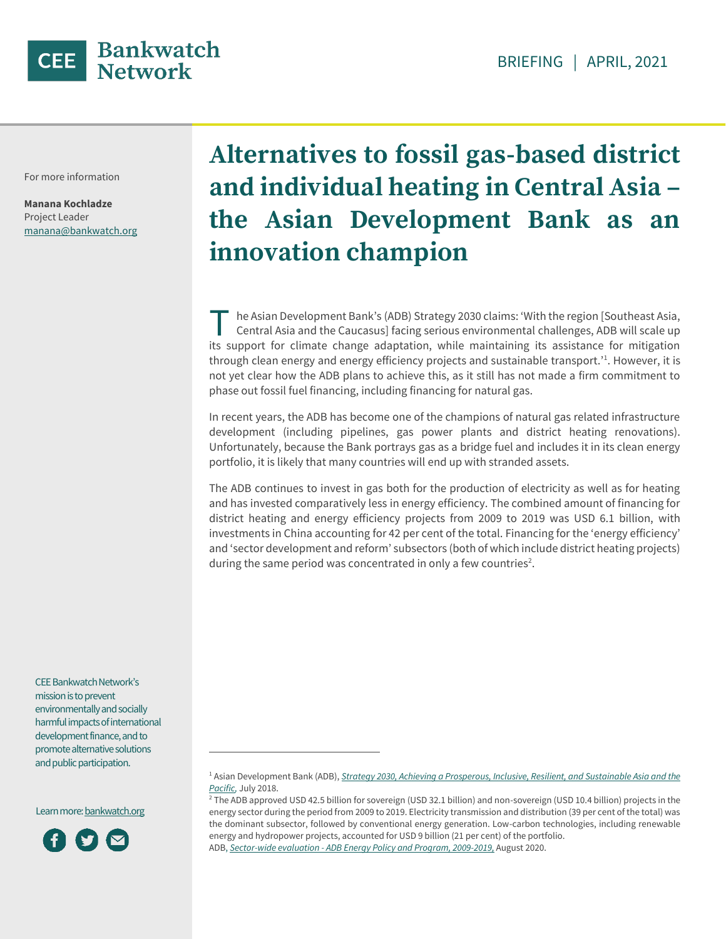

For more information

**Manana Kochladze** Project Leader manana@bankwatch.org

# **Alternatives to fossil gas-based district and individual heating in Central Asia – the Asian Development Bank as an innovation champion**

he Asian Development Bank's (ADB) Strategy 2030 claims: 'With the region [Southeast Asia, Central Asia and the Caucasus] facing serious environmental challenges, ADB will scale up Its support for climate change adaptation, while maintaining its assistance for mitigation its support for climate change adaptation, while maintaining its assistance for mitigation through clean energy and energy efficiency projects and sustainable transport.<sup>'1</sup>. However, it is not yet clear how the ADB plans to achieve this, as it still has not made a firm commitment to phase out fossil fuel financing, including financing for natural gas.

In recent years, the ADB has become one of the champions of natural gas related infrastructure development (including pipelines, gas power plants and district heating renovations). Unfortunately, because the Bank portrays gas as a bridge fuel and includes it in its clean energy portfolio, it is likely that many countries will end up with stranded assets.

The ADB continues to invest in gas both for the production of electricity as well as for heating and has invested comparatively less in energy efficiency. The combined amount of financing for district heating and energy efficiency projects from 2009 to 2019 was USD 6.1 billion, with investments in China accounting for 42 per cent of the total. Financing for the 'energy efficiency' and 'sector development and reform' subsectors (both of which include district heating projects) during the same period was concentrated in only a few countries<sup>2</sup>.

CEE Bankwatch Network's mission is to prevent environmentally and socially harmful impacts of international development finance, and to promote alternative solutions and public participation.

 $\overline{a}$ 

Learn more[: bankwatch.org](http://bankwatch.org/)



<sup>1</sup> Asian Development Bank (ADB), *[Strategy 2030,](https://www.adb.org/documents/strategy-2030-prosperous-inclusive-resilient-sustainable-asia-pacific) [Achieving a Prosperous, Inclusive, Resilient, and Sustainable Asia and the](https://www.adb.org/documents/strategy-2030-prosperous-inclusive-resilient-sustainable-asia-pacific)  [Pacific,](https://www.adb.org/documents/strategy-2030-prosperous-inclusive-resilient-sustainable-asia-pacific)* July 2018.

<sup>&</sup>lt;sup>2</sup> The ADB approved USD 42.5 billion for sovereign (USD 32.1 billion) and non-sovereign (USD 10.4 billion) projects in the energy sector during the period from 2009 to 2019. Electricity transmission and distribution (39 per cent of the total) was the dominant subsector, followed by conventional energy generation. Low-carbon technologies, including renewable energy and hydropower projects, accounted for USD 9 billion (21 per cent) of the portfolio. ADB, *Sector-wide evaluation - [ADB Energy Policy and Program, 2009-2019,](https://www.adb.org/sites/default/files/evaluation-document/518686/files/swe-energy-policy-and-program.pdf)* August 2020.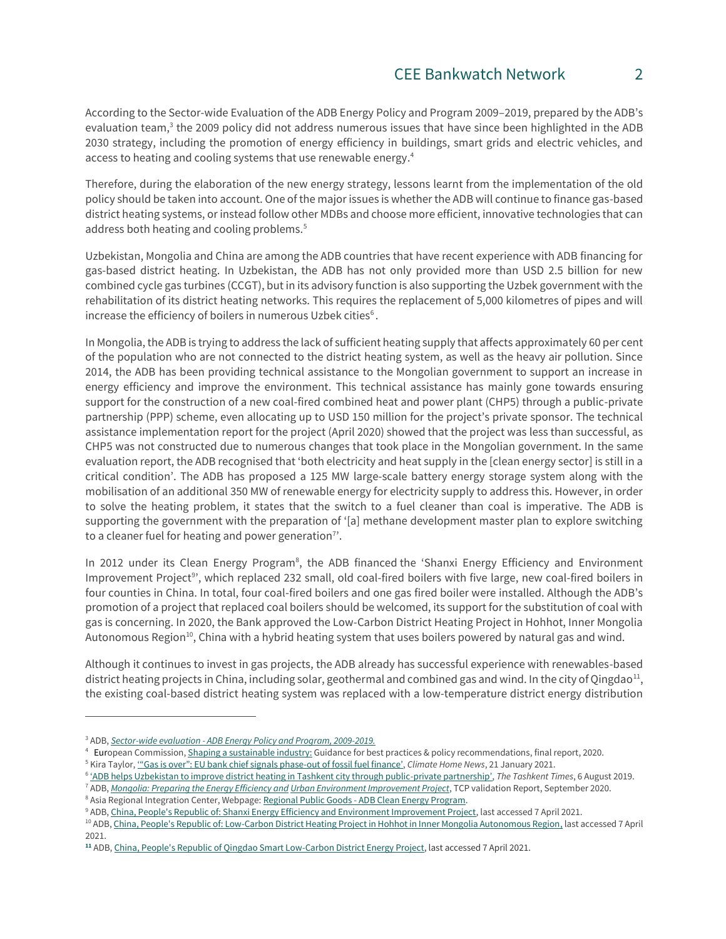According to the Sector-wide Evaluation of the ADB Energy Policy and Program 2009–2019, prepared by the ADB's evaluation team,<sup>3</sup> the 2009 policy did not address numerous issues that have since been highlighted in the ADB 2030 strategy, including the promotion of energy efficiency in buildings, smart grids and electric vehicles, and access to heating and cooling systems that use renewable energy. 4

Therefore, during the elaboration of the new energy strategy, lessons learnt from the implementation of the old policy should be taken into account. One of the major issues is whether the ADB will continue to finance gas-based district heating systems, or instead follow other MDBs and choose more efficient, innovative technologies that can address both heating and cooling problems.<sup>5</sup>

Uzbekistan, Mongolia and China are among the ADB countries that have recent experience with ADB financing for gas-based district heating. In Uzbekistan, the ADB has not only provided more than USD 2.5 billion for new combined cycle gas turbines (CCGT), but in its advisory function is also supporting the Uzbek government with the rehabilitation of its district heating networks. This requires the replacement of 5,000 kilometres of pipes and will increase the efficiency of boilers in numerous Uzbek cities $6$ .

In Mongolia, the ADB is trying to address the lack of sufficient heating supply that affects approximately 60 per cent of the population who are not connected to the district heating system, as well as the heavy air pollution. Since 2014, the ADB has been providing technical assistance to the Mongolian government to support an increase in energy efficiency and improve the environment. This technical assistance has mainly gone towards ensuring support for the construction of a new coal-fired combined heat and power plant (CHP5) through a public-private partnership (PPP) scheme, even allocating up to USD 150 million for the project's private sponsor. The technical assistance implementation report for the project (April 2020) showed that the project was less than successful, as CHP5 was not constructed due to numerous changes that took place in the Mongolian government. In the same evaluation report, the ADB recognised that 'both electricity and heat supply in the [clean energy sector] is still in a critical condition'. The ADB has proposed a 125 MW large-scale battery energy storage system along with the mobilisation of an additional 350 MW of renewable energy for electricity supply to address this. However, in order to solve the heating problem, it states that the switch to a fuel cleaner than coal is imperative. The ADB is supporting the government with the preparation of '[a] methane development master plan to explore switching to a cleaner fuel for heating and power generation<sup>7</sup>.

In 2012 under its Clean Energy Program<sup>8</sup>, the ADB financed the 'Shanxi Energy Efficiency and Environment Improvement Project<sup>9</sup>', which replaced 232 small, old coal-fired boilers with five large, new coal-fired boilers in four counties in China. In total, four coal-fired boilers and one gas fired boiler were installed. Although the ADB's promotion of a project that replaced coal boilers should be welcomed, its support for the substitution of coal with gas is concerning. In 2020, the Bank approved the Low-Carbon District Heating Project in Hohhot, Inner Mongolia Autonomous Region<sup>10</sup>, China with a hybrid heating system that uses boilers powered by natural gas and wind.

Although it continues to invest in gas projects, the ADB already has successful experience with renewables-based district heating projects in China, including solar, geothermal and combined gas and wind. In the city of Qingdao<sup>11</sup>, the existing coal-based district heating system was replaced with a low-temperature district energy distribution

 $\overline{a}$ 

<sup>3</sup> ADB, *Sector-wide evaluation - [ADB Energy Policy and Program, 2009-2019.](https://www.adb.org/sites/default/files/evaluation-document/518686/files/swe-energy-policy-and-program.pdf)*

<sup>&</sup>lt;sup>4</sup> European Commission, <u>Shaping a sustainable industry:</u> Guidance for best practices & policy recommendations, final report, 2020.

<sup>5</sup> Kira Taylor, ['"Gas is over": EU bank chief signals phase](https://www.climatechangenews.com/2021/01/21/gas-eib-president-signals-complete-phase-unabated-fossil-fuels/)-out of fossil fuel finance', *Climate Home News*, 21 January 2021.

<sup>6</sup> ['ADB helps Uzbekistan to improve district heating in Tashkent city through public](https://tashkenttimes.uz/finances/4227-adb-helps-uzbekistan-to-improve-district-heating-in-tashkent-city-through-public-private-partnership)-private partnership', *The Tashkent Times*, 6 August 2019.

<sup>7</sup> ADB, *[Mongolia: Preparing the Energy Efficiency and](https://www.adb.org/sites/default/files/evaluation-document/639541/files/ta8649.pdf) [Urban Environment Improvement Project](https://www.adb.org/sites/default/files/evaluation-document/639541/files/ta8649.pdf)*, TCP validation Report, September 2020.

<sup>&</sup>lt;sup>8</sup> Asia Regional Integration Center, Webpage: Regional Public Goods - ADB Clean Energy Program.

<sup>9</sup> ADB[, China, People's Republic of: Shanxi Energy Efficiency and Environment Improvement Project,](https://www.adb.org/projects/44013-013/main) last accessed 7 April 2021.

<sup>&</sup>lt;sup>10</sup> ADB, [China, People's Republic of: Low-Carbon District Heating Project in Hohhot in Inner Mongolia Autonomous Region,](https://www.adb.org/projects/47052-002/main#project-pds) last accessed 7 April 2021.

**<sup>11</sup>** ADB[, China, People's Republic of Qingdao Smart Low-Carbon District Energy Project,](https://www.adb.org/projects/46058-002/main) last accessed 7 April 2021.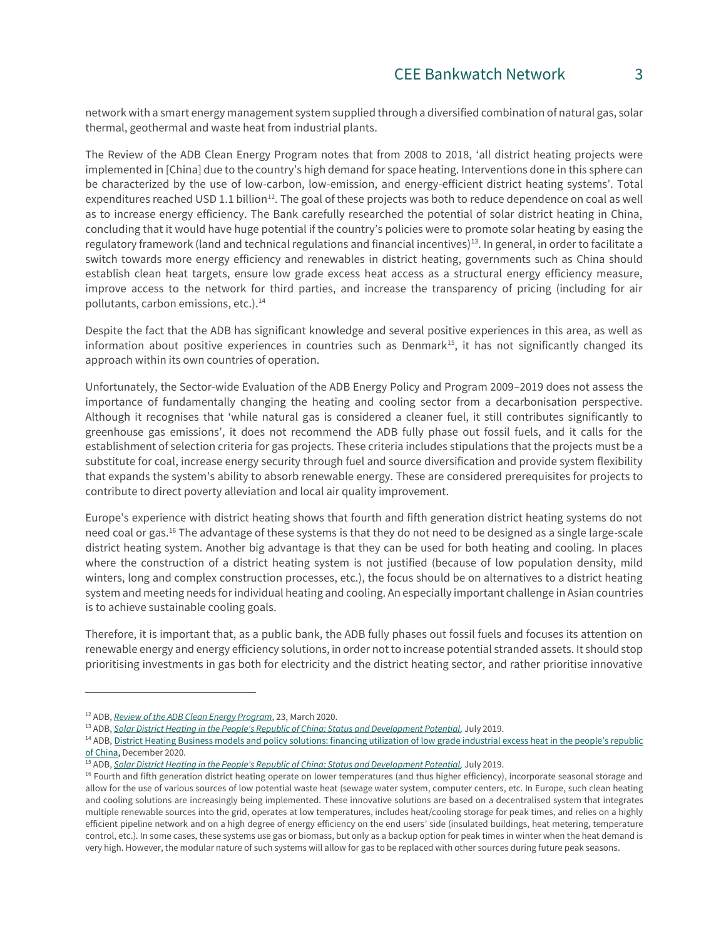network with a smart energy management system supplied through a diversified combination of natural gas, solar thermal, geothermal and waste heat from industrial plants.

The Review of the ADB Clean Energy Program notes that from 2008 to 2018, 'all district heating projects were implemented in [China] due to the country's high demand for space heating. Interventions done in this sphere can be characterized by the use of low-carbon, low-emission, and energy-efficient district heating systems'. Total expenditures reached USD 1.1 billion<sup>12</sup>. The goal of these projects was both to reduce dependence on coal as well as to increase energy efficiency. The Bank carefully researched the potential of solar district heating in China, concluding that it would have huge potential if the country's policies were to promote solar heating by easing the regulatory framework (land and technical regulations and financial incentives)<sup>13</sup>. In general, in order to facilitate a switch towards more energy efficiency and renewables in district heating, governments such as China should establish clean heat targets, ensure low grade excess heat access as a structural energy efficiency measure, improve access to the network for third parties, and increase the transparency of pricing (including for air pollutants, carbon emissions, etc.). $<sup>14</sup>$ </sup>

Despite the fact that the ADB has significant knowledge and several positive experiences in this area, as well as information about positive experiences in countries such as Denmark<sup>15</sup>, it has not significantly changed its approach within its own countries of operation.

Unfortunately, the Sector-wide Evaluation of the ADB Energy Policy and Program 2009–2019 does not assess the importance of fundamentally changing the heating and cooling sector from a decarbonisation perspective. Although it recognises that 'while natural gas is considered a cleaner fuel, it still contributes significantly to greenhouse gas emissions', it does not recommend the ADB fully phase out fossil fuels, and it calls for the establishment of selection criteria for gas projects. These criteria includes stipulations that the projects must be a substitute for coal, increase energy security through fuel and source diversification and provide system flexibility that expands the system's ability to absorb renewable energy. These are considered prerequisites for projects to contribute to direct poverty alleviation and local air quality improvement.

Europe's experience with district heating shows that fourth and fifth generation district heating systems do not need coal or gas.<sup>16</sup> The advantage of these systems is that they do not need to be designed as a single large-scale district heating system. Another big advantage is that they can be used for both heating and cooling. In places where the construction of a district heating system is not justified (because of low population density, mild winters, long and complex construction processes, etc.), the focus should be on alternatives to a district heating system and meeting needs for individual heating and cooling. An especially important challenge in Asian countries is to achieve sustainable cooling goals.

Therefore, it is important that, as a public bank, the ADB fully phases out fossil fuels and focuses its attention on renewable energy and energy efficiency solutions, in order not to increase potential stranded assets. It should stop prioritising investments in gas both for electricity and the district heating sector, and rather prioritise innovative

 $\overline{a}$ 

<sup>12</sup> ADB, *[Review of the ADB Clean Energy Program](https://www.adb.org/sites/default/files/institutional-document/576841/review-adb-clean-energy-program.pdf)*, 23, March 2020.

<sup>&</sup>lt;sup>13</sup> ADB, *Solar District Heating in the People's Republic of China: Status and Development Potential*, July 2019.

<sup>&</sup>lt;sup>14</sup> ADB[, District Heating Business models and policy solutions: financing utilization of low grad](https://www.adb.org/publications/district-heating-business-models-and-policy-solutions-prc)e industrial excess heat in the people's republic [of China,](https://www.adb.org/publications/district-heating-business-models-and-policy-solutions-prc) December 2020.

<sup>15</sup> ADB, *[Solar District Heating in the People's Republic of China: Status and Development Potential,](https://www.adb.org/publications/solar-district-heating-peoples-republic-china)* July 2019.

<sup>&</sup>lt;sup>16</sup> Fourth and fifth generation district heating operate on lower temperatures (and thus higher efficiency), incorporate seasonal storage and allow for the use of various sources of low potential waste heat (sewage water system, computer centers, etc. In Europe, such clean heating and cooling solutions are increasingly being implemented. These innovative solutions are based on a decentralised system that integrates multiple renewable sources into the grid, operates at low temperatures, includes heat/cooling storage for peak times, and relies on a highly efficient pipeline network and on a high degree of energy efficiency on the end users' side (insulated buildings, heat metering, temperature control, etc.). In some cases, these systems use gas or biomass, but only as a backup option for peak times in winter when the heat demand is very high. However, the modular nature of such systems will allow for gas to be replaced with other sources during future peak seasons.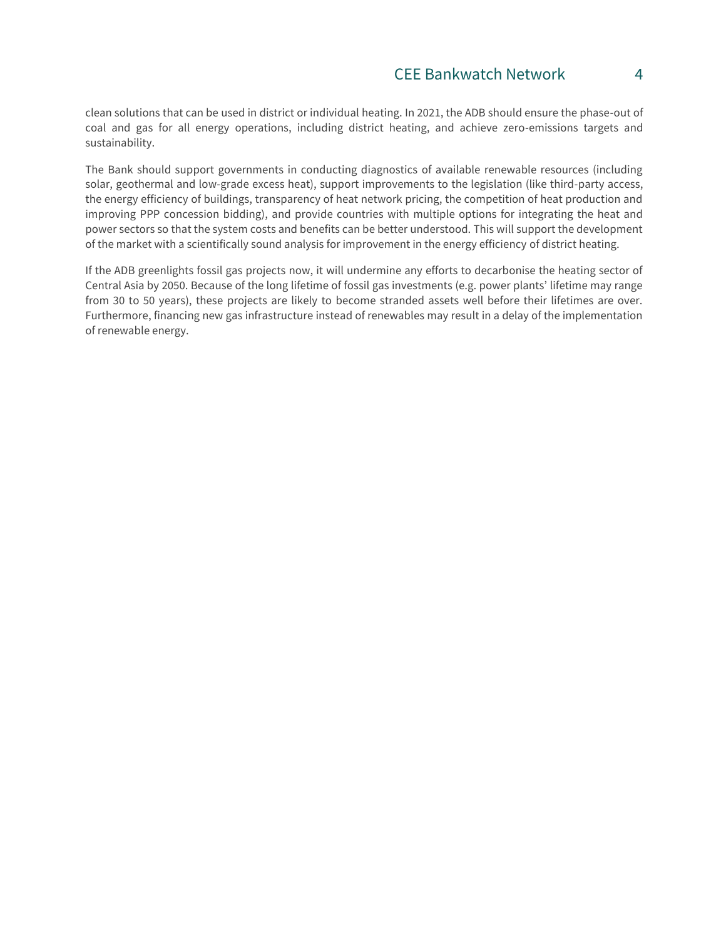clean solutions that can be used in district or individual heating. In 2021, the ADB should ensure the phase-out of coal and gas for all energy operations, including district heating, and achieve zero-emissions targets and sustainability.

The Bank should support governments in conducting diagnostics of available renewable resources (including solar, geothermal and low-grade excess heat), support improvements to the legislation (like third-party access, the energy efficiency of buildings, transparency of heat network pricing, the competition of heat production and improving PPP concession bidding), and provide countries with multiple options for integrating the heat and power sectors so that the system costs and benefits can be better understood. This will support the development of the market with a scientifically sound analysis for improvement in the energy efficiency of district heating.

If the ADB greenlights fossil gas projects now, it will undermine any efforts to decarbonise the heating sector of Central Asia by 2050. Because of the long lifetime of fossil gas investments (e.g. power plants' lifetime may range from 30 to 50 years), these projects are likely to become stranded assets well before their lifetimes are over. Furthermore, financing new gas infrastructure instead of renewables may result in a delay of the implementation of renewable energy.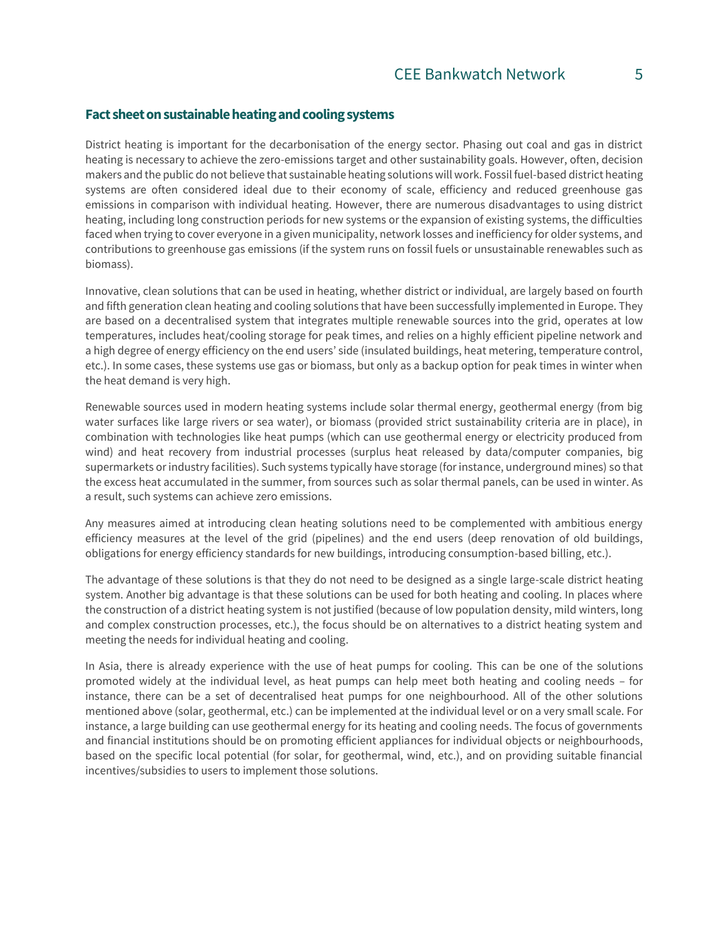#### **Fact sheet on sustainable heating and cooling systems**

District heating is important for the decarbonisation of the energy sector. Phasing out coal and gas in district heating is necessary to achieve the zero-emissions target and other sustainability goals. However, often, decision makers and the public do not believe that sustainable heating solutions will work. Fossil fuel-based district heating systems are often considered ideal due to their economy of scale, efficiency and reduced greenhouse gas emissions in comparison with individual heating. However, there are numerous disadvantages to using district heating, including long construction periods for new systems or the expansion of existing systems, the difficulties faced when trying to cover everyone in a given municipality, network losses and inefficiency for older systems, and contributions to greenhouse gas emissions (if the system runs on fossil fuels or unsustainable renewables such as biomass).

Innovative, clean solutions that can be used in heating, whether district or individual, are largely based on fourth and fifth generation clean heating and cooling solutions that have been successfully implemented in Europe. They are based on a decentralised system that integrates multiple renewable sources into the grid, operates at low temperatures, includes heat/cooling storage for peak times, and relies on a highly efficient pipeline network and a high degree of energy efficiency on the end users' side (insulated buildings, heat metering, temperature control, etc.). In some cases, these systems use gas or biomass, but only as a backup option for peak times in winter when the heat demand is very high.

Renewable sources used in modern heating systems include solar thermal energy, geothermal energy (from big water surfaces like large rivers or sea water), or biomass (provided strict sustainability criteria are in place), in combination with technologies like heat pumps (which can use geothermal energy or electricity produced from wind) and heat recovery from industrial processes (surplus heat released by data/computer companies, big supermarkets or industry facilities). Such systems typically have storage (for instance, underground mines) so that the excess heat accumulated in the summer, from sources such as solar thermal panels, can be used in winter. As a result, such systems can achieve zero emissions.

Any measures aimed at introducing clean heating solutions need to be complemented with ambitious energy efficiency measures at the level of the grid (pipelines) and the end users (deep renovation of old buildings, obligations for energy efficiency standards for new buildings, introducing consumption-based billing, etc.).

The advantage of these solutions is that they do not need to be designed as a single large-scale district heating system. Another big advantage is that these solutions can be used for both heating and cooling. In places where the construction of a district heating system is not justified (because of low population density, mild winters, long and complex construction processes, etc.), the focus should be on alternatives to a district heating system and meeting the needs for individual heating and cooling.

In Asia, there is already experience with the use of heat pumps for cooling. This can be one of the solutions promoted widely at the individual level, as heat pumps can help meet both heating and cooling needs – for instance, there can be a set of decentralised heat pumps for one neighbourhood. All of the other solutions mentioned above (solar, geothermal, etc.) can be implemented at the individual level or on a very small scale. For instance, a large building can use geothermal energy for its heating and cooling needs. The focus of governments and financial institutions should be on promoting efficient appliances for individual objects or neighbourhoods, based on the specific local potential (for solar, for geothermal, wind, etc.), and on providing suitable financial incentives/subsidies to users to implement those solutions.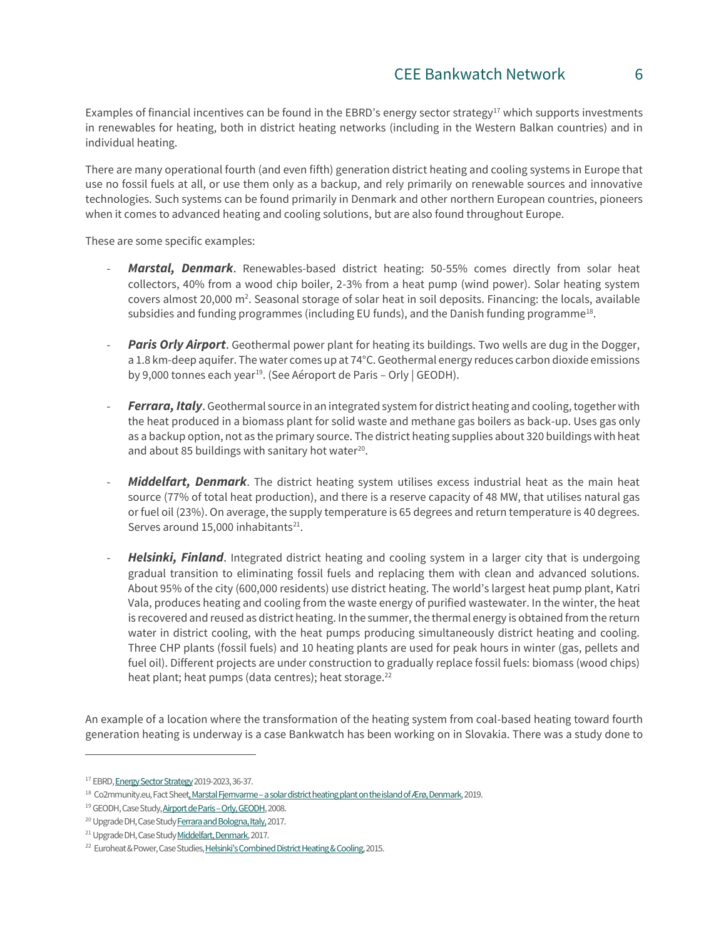Examples of financial incentives can be found in the EBRD's energy sector strategy<sup>17</sup> which supports investments in renewables for heating, both in district heating networks (including in the Western Balkan countries) and in individual heating.

There are many operational fourth (and even fifth) generation district heating and cooling systems in Europe that use no fossil fuels at all, or use them only as a backup, and rely primarily on renewable sources and innovative technologies. Such systems can be found primarily in Denmark and other northern European countries, pioneers when it comes to advanced heating and cooling solutions, but are also found throughout Europe.

These are some specific examples:

- *Marstal, Denmark*. Renewables-based district heating: 50-55% comes directly from solar heat collectors, 40% from a wood chip boiler, 2-3% from a heat pump (wind power). Solar heating system covers almost 20,000 m<sup>2</sup>. Seasonal storage of solar heat in soil deposits. Financing: the locals, available subsidies and funding programmes (including EU funds), and the Danish funding programme<sup>18</sup>.
- **Paris Orly Airport**. Geothermal power plant for heating its buildings. Two wells are dug in the Dogger, a 1.8 km-deep aquifer. The water comes up at 74°C. Geothermal energy reduces carbon dioxide emissions by 9,000 tonnes each year<sup>19</sup>. (See Aéroport de Paris – Orly | GEODH).
- *Ferrara, Italy*. Geothermal source in an integrated system for district heating and cooling, together with the heat produced in a biomass plant for solid waste and methane gas boilers as back-up. Uses gas only as a backup option, not as the primary source. The district heating supplies about 320 buildings with heat and about 85 buildings with sanitary hot water $20$ .
- Middelfart, Denmark. The district heating system utilises excess industrial heat as the main heat source (77% of total heat production), and there is a reserve capacity of 48 MW, that utilises natural gas or fuel oil (23%). On average, the supply temperature is 65 degrees and return temperature is 40 degrees. Serves around  $15,000$  inhabitants<sup>21</sup>.
- **Helsinki, Finland**. Integrated district heating and cooling system in a larger city that is undergoing gradual transition to eliminating fossil fuels and replacing them with clean and advanced solutions. About 95% of the city (600,000 residents) use district heating. The world's largest heat pump plant, Katri Vala, produces heating and cooling from the waste energy of purified wastewater. In the winter, the heat is recovered and reused as district heating. In the summer, the thermal energy is obtained from the return water in district cooling, with the heat pumps producing simultaneously district heating and cooling. Three CHP plants (fossil fuels) and 10 heating plants are used for peak hours in winter (gas, pellets and fuel oil). Different projects are under construction to gradually replace fossil fuels: biomass (wood chips) heat plant; heat pumps (data centres); heat storage.<sup>22</sup>

An example of a location where the transformation of the heating system from coal-based heating toward fourth generation heating is underway is a case Bankwatch has been working on in Slovakia. There was a study done to

 $\overline{a}$ 

<sup>17</sup> EBR[D, Energy Sector Strategy2](https://www.ebrd.com/power-and-energy/ebrd-energy-sector-strategy.pdf)019-2023, 36-37.

<sup>&</sup>lt;sup>18</sup> Co2mmunity.eu, Fact Sheet, Marstal Fjernvarme – a solar district heating plant on the island of Ærø, Denmark, 2019.

<sup>&</sup>lt;sup>19</sup> GEODH, Case Study, **Airport de Paris - Orly, GEODH**, 2008.

<sup>&</sup>lt;sup>20</sup> Upgrade DH, Case Study Ferrara and Bologna, Italy, 2017.

<sup>&</sup>lt;sup>21</sup> Upgrade DH, Case Stud[y Middelfart, Denmark,](https://www.upgrade-dh.eu/en/middelfart-denmark/) 2017.

<sup>&</sup>lt;sup>22</sup> Euroheat & Power, Case Studies<u>, [Helsinki's Combined District Heating & Cooling](https://www.euroheat.org/knowledge-hub/case-studies/helsinkis-combined-district-heating-cooling/)</u>, 2015.